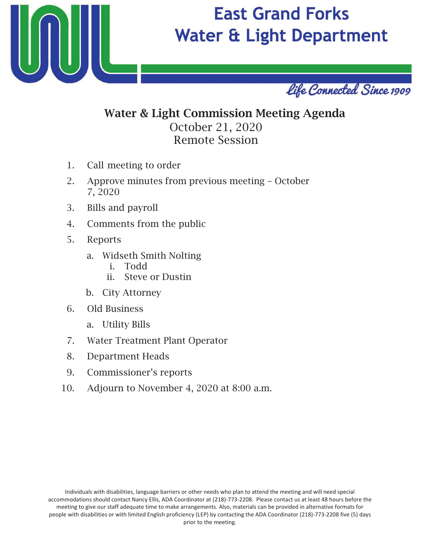

# **East Grand Forks Water & Light Department**



## Water & Light Commission Meeting Agenda October 21, 20 Remote Session

- 1. Call meeting to order
- 2. Approve minutes from previous meeting October 7, 20
- 3. Bills and payroll
- 4. Comments from the public
- 5. Reports
	- a. Widseth Smith Nolting
		- i. Todd
		- ii. Steve or Dustin
	- b. City Attorney
- 6. Old Business
	- a. Utility Bills
- 7. Water Treatment Plant Operator
- 8. Department Heads
- 9. Commissioner's reports
- 10. Adjourn to November 4, 2020 at 8:00 a.m.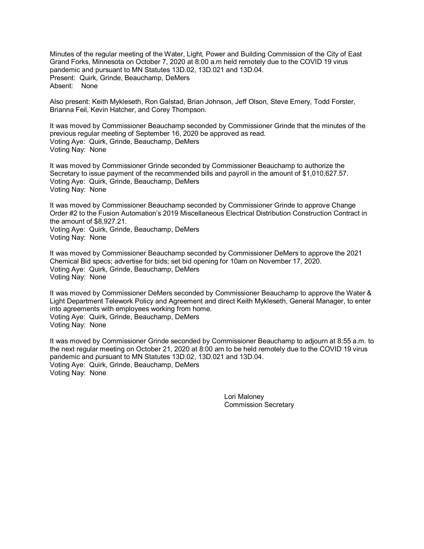Minutes of the regular meeting of the Water, Light, Power and Building Commission of the City of East Grand Forks, Minnesota on October 7, 2020 at 8:00 a.m held remotely due to the COVID 19 virus pandemic and pursuant to MN Statutes 13D.02, 13D.021 and 13D.04. Present: Quirk, Grinde, Beauchamp, DeMers Absent: None

Also present: Keith Mykleseth, Ron Galstad, Brian Johnson, Jeff Olson, Steve Emery, Todd Forster, Brianna Feil, Kevin Hatcher, and Corey Thompson.

It was moved by Commissioner Beauchamp seconded by Commissioner Grinde that the minutes of the previous regular meeting of September 16, 2020 be approved as read. Voting Aye: Quirk, Grinde, Beauchamp, DeMers Voting Nay: None

It was moved by Commissioner Grinde seconded by Commissioner Beauchamp to authorize the Secretary to issue payment of the recommended bills and payroll in the amount of \$1,010,627.57. Voting Aye: Quirk, Grinde, Beauchamp, DeMers Voting Nay: None

It was moved by Commissioner Beauchamp seconded by Commissioner Grinde to approve Change Order #2 to the Fusion Automation's 2019 Miscellaneous Electrical Distribution Construction Contract in the amount of \$8,927.21. Voting Aye: Quirk, Grinde, Beauchamp, DeMers Voting Nay: None

It was moved by Commissioner Beauchamp seconded by Commissioner DeMers to approve the 2021 Chemical Bid specs; advertise for bids; set bid opening for 10am on November 17, 2020. Voting Aye: Quirk, Grinde, Beauchamp, DeMers Voting Nay: None

It was moved by Commissioner DeMers seconded by Commissioner Beauchamp to approve the Water & Light Department Telework Policy and Agreement and direct Keith Mykleseth, General Manager, to enter into agreements with employees working from home. Voting Aye: Quirk, Grinde, Beauchamp, DeMers Voting Nay: None

It was moved by Commissioner Grinde seconded by Commissioner Beauchamp to adjourn at 8:55 a.m. to the next regular meeting on October 21, 2020 at 8:00 am to be held remotely due to the COVID 19 virus pandemic and pursuant to MN Statutes 13D.02, 13D.021 and 13D.04. Voting Aye: Quirk, Grinde, Beauchamp, DeMers Voting Nay: None

> Lori Maloney Commission Secretary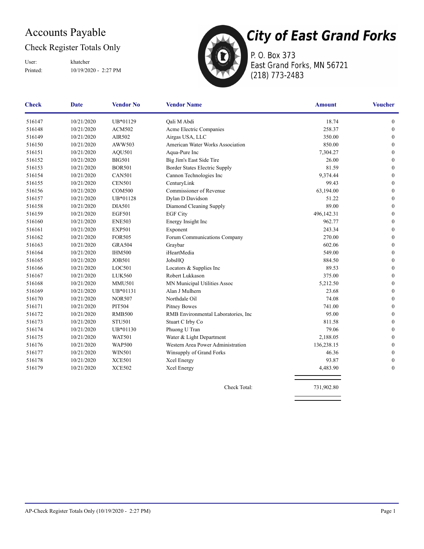### Accounts Payable

#### Check Register Totals Only

User: khatcher

Printed: 10/19/2020 - 2:27 PM



P. O. Box 373 East Grand Forks, MN 56721 (218) 773-2483

| <b>Check</b> | <b>Date</b> | <b>Vendor No</b> | <b>Vendor Name</b>                  | <b>Amount</b> | <b>Voucher</b>   |
|--------------|-------------|------------------|-------------------------------------|---------------|------------------|
| 516147       | 10/21/2020  | UB*01129         | Qali M Abdi                         | 18.74         | $\boldsymbol{0}$ |
| 516148       | 10/21/2020  | <b>ACM502</b>    | Acme Electric Companies             | 258.37        | $\boldsymbol{0}$ |
| 516149       | 10/21/2020  | AIR502           | Airgas USA, LLC                     | 350.00        | $\boldsymbol{0}$ |
| 516150       | 10/21/2020  | AWW503           | American Water Works Association    | 850.00        | $\boldsymbol{0}$ |
| 516151       | 10/21/2020  | <b>AQU501</b>    | Aqua-Pure Inc                       | 7,304.27      | $\mathbf{0}$     |
| 516152       | 10/21/2020  | <b>BIG501</b>    | Big Jim's East Side Tire            | 26.00         | $\boldsymbol{0}$ |
| 516153       | 10/21/2020  | <b>BOR501</b>    | Border States Electric Supply       | 81.59         | $\mathbf{0}$     |
| 516154       | 10/21/2020  | <b>CAN501</b>    | Cannon Technologies Inc             | 9,374.44      | $\boldsymbol{0}$ |
| 516155       | 10/21/2020  | <b>CEN501</b>    | CenturyLink                         | 99.43         | $\mathbf{0}$     |
| 516156       | 10/21/2020  | <b>COM500</b>    | Commissioner of Revenue             | 63,194.00     | $\mathbf{0}$     |
| 516157       | 10/21/2020  | UB*01128         | Dylan D Davidson                    | 51.22         | $\mathbf{0}$     |
| 516158       | 10/21/2020  | <b>DIA501</b>    | Diamond Cleaning Supply             | 89.00         | $\mathbf{0}$     |
| 516159       | 10/21/2020  | <b>EGF501</b>    | <b>EGF City</b>                     | 496,142.31    | $\mathbf{0}$     |
| 516160       | 10/21/2020  | <b>ENE503</b>    | Energy Insight Inc                  | 962.77        | $\mathbf{0}$     |
| 516161       | 10/21/2020  | <b>EXP501</b>    | Exponent                            | 243.34        | $\mathbf{0}$     |
| 516162       | 10/21/2020  | <b>FOR505</b>    | Forum Communications Company        | 270.00        | $\theta$         |
| 516163       | 10/21/2020  | <b>GRA504</b>    | Graybar                             | 602.06        | $\boldsymbol{0}$ |
| 516164       | 10/21/2020  | <b>IHM500</b>    | iHeartMedia                         | 549.00        | $\boldsymbol{0}$ |
| 516165       | 10/21/2020  | <b>JOB501</b>    | JobsHQ                              | 884.50        | $\mathbf{0}$     |
| 516166       | 10/21/2020  | LOC501           | Locators & Supplies Inc             | 89.53         | $\boldsymbol{0}$ |
| 516167       | 10/21/2020  | <b>LUK560</b>    | Robert Lukkason                     | 375.00        | $\boldsymbol{0}$ |
| 516168       | 10/21/2020  | <b>MMU501</b>    | MN Municipal Utilities Assoc        | 5,212.50      | $\boldsymbol{0}$ |
| 516169       | 10/21/2020  | UB*01131         | Alan J Mulhern                      | 23.68         | $\mathbf{0}$     |
| 516170       | 10/21/2020  | <b>NOR507</b>    | Northdale Oil                       | 74.08         | $\mathbf{0}$     |
| 516171       | 10/21/2020  | <b>PIT504</b>    | <b>Pitney Bowes</b>                 | 741.00        | $\boldsymbol{0}$ |
| 516172       | 10/21/2020  | <b>RMB500</b>    | RMB Environmental Laboratories, Inc | 95.00         | $\mathbf{0}$     |
| 516173       | 10/21/2020  | <b>STU501</b>    | Stuart C Irby Co                    | 811.58        | $\mathbf{0}$     |
| 516174       | 10/21/2020  | UB*01130         | Phuong U Tran                       | 79.06         | $\mathbf{0}$     |
| 516175       | 10/21/2020  | <b>WAT501</b>    | Water & Light Department            | 2,188.05      | $\mathbf{0}$     |
| 516176       | 10/21/2020  | <b>WAP500</b>    | Western Area Power Administration   | 136,238.15    | $\mathbf{0}$     |
| 516177       | 10/21/2020  | <b>WIN501</b>    | Winsupply of Grand Forks            | 46.36         | $\mathbf{0}$     |
| 516178       | 10/21/2020  | <b>XCE501</b>    | Xcel Energy                         | 93.87         | $\boldsymbol{0}$ |
| 516179       | 10/21/2020  | <b>XCE502</b>    | Xcel Energy                         | 4,483.90      | $\mathbf{0}$     |
|              |             |                  |                                     |               |                  |

Check Total: 731,902.80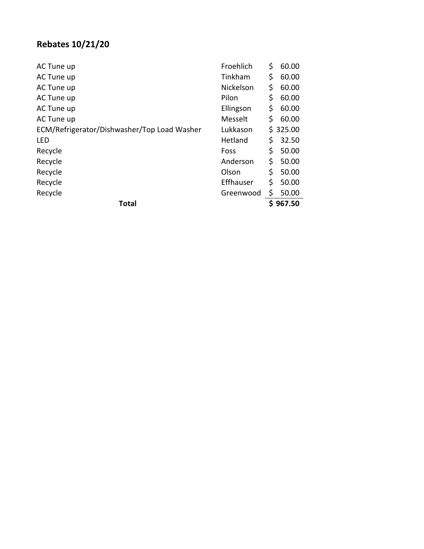## **Rebates 10/21/20**

| <b>Total</b>                                            |           |    | \$967.50 |
|---------------------------------------------------------|-----------|----|----------|
| Recycle                                                 | Greenwood | \$ | 50.00    |
| Recycle                                                 | Effhauser | \$ | 50.00    |
| Recycle                                                 | Olson     | \$ | 50.00    |
| Recycle                                                 | Anderson  | \$ | 50.00    |
| Recycle                                                 | Foss      | \$ | 50.00    |
| <b>LED</b>                                              | Hetland   | \$ | 32.50    |
| ECM/Refrigerator/Dishwasher/Top Load Washer<br>Lukkason |           |    | \$325.00 |
| AC Tune up                                              | Messelt   | \$ | 60.00    |
| AC Tune up                                              | Ellingson | \$ | 60.00    |
| AC Tune up                                              | Pilon     | \$ | 60.00    |
| AC Tune up                                              | Nickelson | \$ | 60.00    |
| AC Tune up                                              | Tinkham   | \$ | 60.00    |
| AC Tune up                                              | Froehlich | \$ | 60.00    |